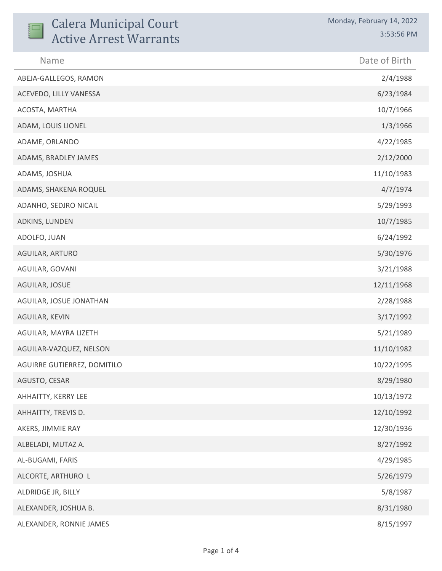| <b>Calera Municipal Court</b><br><b>Active Arrest Warrants</b> | Monday, February 14, 2022<br>3:53:56 PM |
|----------------------------------------------------------------|-----------------------------------------|
| Name                                                           | Date of Birth                           |
| ABEJA-GALLEGOS, RAMON                                          | 2/4/1988                                |
| ACEVEDO, LILLY VANESSA                                         | 6/23/1984                               |
| ACOSTA, MARTHA                                                 | 10/7/1966                               |
| ADAM, LOUIS LIONEL                                             | 1/3/1966                                |
| ADAME, ORLANDO                                                 | 4/22/1985                               |
| ADAMS, BRADLEY JAMES                                           | 2/12/2000                               |
| ADAMS, JOSHUA                                                  | 11/10/1983                              |
| ADAMS, SHAKENA ROQUEL                                          | 4/7/1974                                |
| ADANHO, SEDJRO NICAIL                                          | 5/29/1993                               |
| ADKINS, LUNDEN                                                 | 10/7/1985                               |
| ADOLFO, JUAN                                                   | 6/24/1992                               |
| AGUILAR, ARTURO                                                | 5/30/1976                               |
| AGUILAR, GOVANI                                                | 3/21/1988                               |
| AGUILAR, JOSUE                                                 | 12/11/1968                              |
| AGUILAR, JOSUE JONATHAN                                        | 2/28/1988                               |
| AGUILAR, KEVIN                                                 | 3/17/1992                               |
| AGUILAR, MAYRA LIZETH                                          | 5/21/1989                               |
| AGUILAR-VAZQUEZ, NELSON                                        | 11/10/1982                              |
| AGUIRRE GUTIERREZ, DOMITILO                                    | 10/22/1995                              |
| AGUSTO, CESAR                                                  | 8/29/1980                               |
| AHHAITTY, KERRY LEE                                            | 10/13/1972                              |
| AHHAITTY, TREVIS D.                                            | 12/10/1992                              |
| AKERS, JIMMIE RAY                                              | 12/30/1936                              |
| ALBELADI, MUTAZ A.                                             | 8/27/1992                               |
| AL-BUGAMI, FARIS                                               | 4/29/1985                               |
| ALCORTE, ARTHURO L                                             | 5/26/1979                               |
| ALDRIDGE JR, BILLY                                             | 5/8/1987                                |
| ALEXANDER, JOSHUA B.                                           | 8/31/1980                               |
| ALEXANDER, RONNIE JAMES                                        | 8/15/1997                               |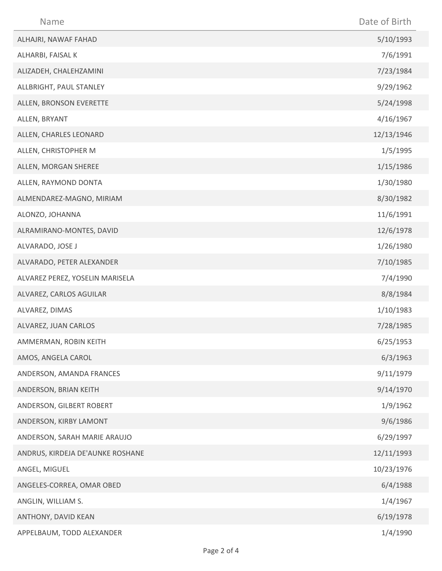| Name                             | Date of Birth |
|----------------------------------|---------------|
| ALHAJRI, NAWAF FAHAD             | 5/10/1993     |
| ALHARBI, FAISAL K                | 7/6/1991      |
| ALIZADEH, CHALEHZAMINI           | 7/23/1984     |
| ALLBRIGHT, PAUL STANLEY          | 9/29/1962     |
| ALLEN, BRONSON EVERETTE          | 5/24/1998     |
| ALLEN, BRYANT                    | 4/16/1967     |
| ALLEN, CHARLES LEONARD           | 12/13/1946    |
| ALLEN, CHRISTOPHER M             | 1/5/1995      |
| ALLEN, MORGAN SHEREE             | 1/15/1986     |
| ALLEN, RAYMOND DONTA             | 1/30/1980     |
| ALMENDAREZ-MAGNO, MIRIAM         | 8/30/1982     |
| ALONZO, JOHANNA                  | 11/6/1991     |
| ALRAMIRANO-MONTES, DAVID         | 12/6/1978     |
| ALVARADO, JOSE J                 | 1/26/1980     |
| ALVARADO, PETER ALEXANDER        | 7/10/1985     |
| ALVAREZ PEREZ, YOSELIN MARISELA  | 7/4/1990      |
| ALVAREZ, CARLOS AGUILAR          | 8/8/1984      |
| ALVAREZ, DIMAS                   | 1/10/1983     |
| ALVAREZ, JUAN CARLOS             | 7/28/1985     |
| AMMERMAN, ROBIN KEITH            | 6/25/1953     |
| AMOS, ANGELA CAROL               | 6/3/1963      |
| ANDERSON, AMANDA FRANCES         | 9/11/1979     |
| ANDERSON, BRIAN KEITH            | 9/14/1970     |
| ANDERSON, GILBERT ROBERT         | 1/9/1962      |
| ANDERSON, KIRBY LAMONT           | 9/6/1986      |
| ANDERSON, SARAH MARIE ARAUJO     | 6/29/1997     |
| ANDRUS, KIRDEJA DE'AUNKE ROSHANE | 12/11/1993    |
| ANGEL, MIGUEL                    | 10/23/1976    |
| ANGELES-CORREA, OMAR OBED        | 6/4/1988      |
| ANGLIN, WILLIAM S.               | 1/4/1967      |
| ANTHONY, DAVID KEAN              | 6/19/1978     |
| APPELBAUM, TODD ALEXANDER        | 1/4/1990      |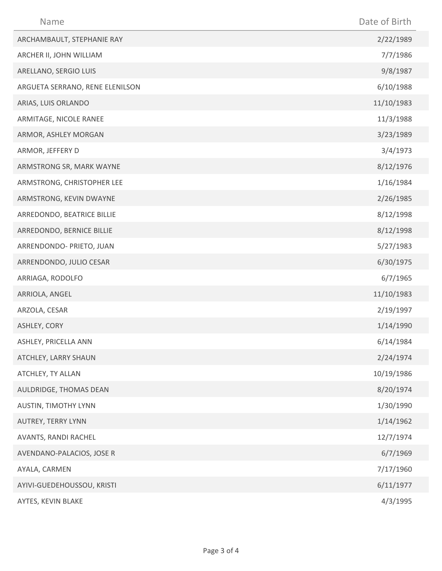| Name                            | Date of Birth |
|---------------------------------|---------------|
| ARCHAMBAULT, STEPHANIE RAY      | 2/22/1989     |
| ARCHER II, JOHN WILLIAM         | 7/7/1986      |
| ARELLANO, SERGIO LUIS           | 9/8/1987      |
| ARGUETA SERRANO, RENE ELENILSON | 6/10/1988     |
| ARIAS, LUIS ORLANDO             | 11/10/1983    |
| ARMITAGE, NICOLE RANEE          | 11/3/1988     |
| ARMOR, ASHLEY MORGAN            | 3/23/1989     |
| ARMOR, JEFFERY D                | 3/4/1973      |
| ARMSTRONG SR, MARK WAYNE        | 8/12/1976     |
| ARMSTRONG, CHRISTOPHER LEE      | 1/16/1984     |
| ARMSTRONG, KEVIN DWAYNE         | 2/26/1985     |
| ARREDONDO, BEATRICE BILLIE      | 8/12/1998     |
| ARREDONDO, BERNICE BILLIE       | 8/12/1998     |
| ARRENDONDO- PRIETO, JUAN        | 5/27/1983     |
| ARRENDONDO, JULIO CESAR         | 6/30/1975     |
| ARRIAGA, RODOLFO                | 6/7/1965      |
| ARRIOLA, ANGEL                  | 11/10/1983    |
| ARZOLA, CESAR                   | 2/19/1997     |
| ASHLEY, CORY                    | 1/14/1990     |
| ASHLEY, PRICELLA ANN            | 6/14/1984     |
| ATCHLEY, LARRY SHAUN            | 2/24/1974     |
| ATCHLEY, TY ALLAN               | 10/19/1986    |
| AULDRIDGE, THOMAS DEAN          | 8/20/1974     |
| <b>AUSTIN, TIMOTHY LYNN</b>     | 1/30/1990     |
| AUTREY, TERRY LYNN              | 1/14/1962     |
| AVANTS, RANDI RACHEL            | 12/7/1974     |
| AVENDANO-PALACIOS, JOSE R       | 6/7/1969      |
| AYALA, CARMEN                   | 7/17/1960     |
| AYIVI-GUEDEHOUSSOU, KRISTI      | 6/11/1977     |
| AYTES, KEVIN BLAKE              | 4/3/1995      |